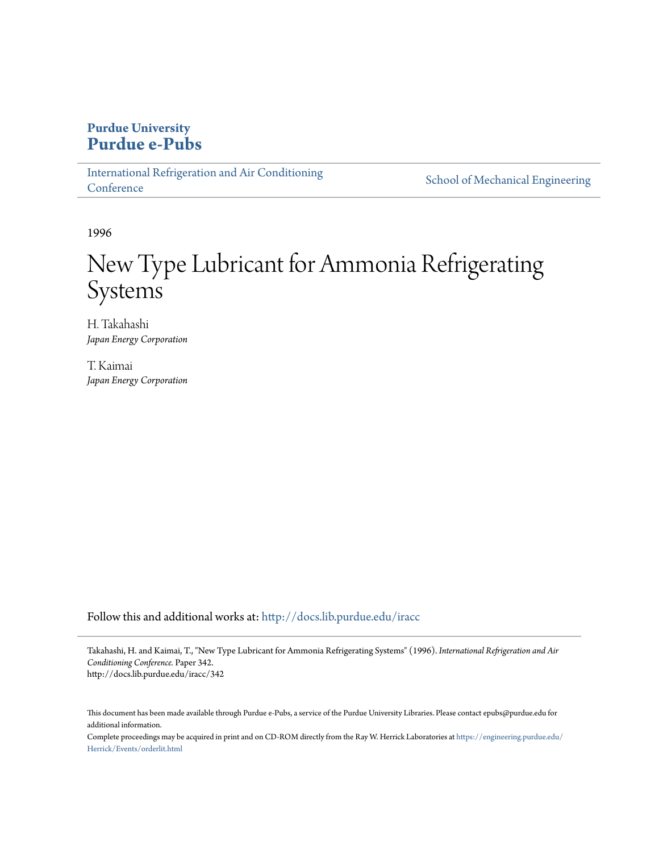# **Purdue University [Purdue e-Pubs](http://docs.lib.purdue.edu?utm_source=docs.lib.purdue.edu%2Firacc%2F342&utm_medium=PDF&utm_campaign=PDFCoverPages)**

[International Refrigeration and Air Conditioning](http://docs.lib.purdue.edu/iracc?utm_source=docs.lib.purdue.edu%2Firacc%2F342&utm_medium=PDF&utm_campaign=PDFCoverPages) **[Conference](http://docs.lib.purdue.edu/iracc?utm_source=docs.lib.purdue.edu%2Firacc%2F342&utm_medium=PDF&utm_campaign=PDFCoverPages)** 

[School of Mechanical Engineering](http://docs.lib.purdue.edu/me?utm_source=docs.lib.purdue.edu%2Firacc%2F342&utm_medium=PDF&utm_campaign=PDFCoverPages)

1996

# New Type Lubricant for Ammonia Refrigerating **Systems**

H. Takahashi *Japan Energy Corporation*

T. Kaimai *Japan Energy Corporation*

Follow this and additional works at: [http://docs.lib.purdue.edu/iracc](http://docs.lib.purdue.edu/iracc?utm_source=docs.lib.purdue.edu%2Firacc%2F342&utm_medium=PDF&utm_campaign=PDFCoverPages)

Takahashi, H. and Kaimai, T., "New Type Lubricant for Ammonia Refrigerating Systems" (1996). *International Refrigeration and Air Conditioning Conference.* Paper 342. http://docs.lib.purdue.edu/iracc/342

This document has been made available through Purdue e-Pubs, a service of the Purdue University Libraries. Please contact epubs@purdue.edu for additional information.

Complete proceedings may be acquired in print and on CD-ROM directly from the Ray W. Herrick Laboratories at [https://engineering.purdue.edu/](https://engineering.purdue.edu/Herrick/Events/orderlit.html) [Herrick/Events/orderlit.html](https://engineering.purdue.edu/Herrick/Events/orderlit.html)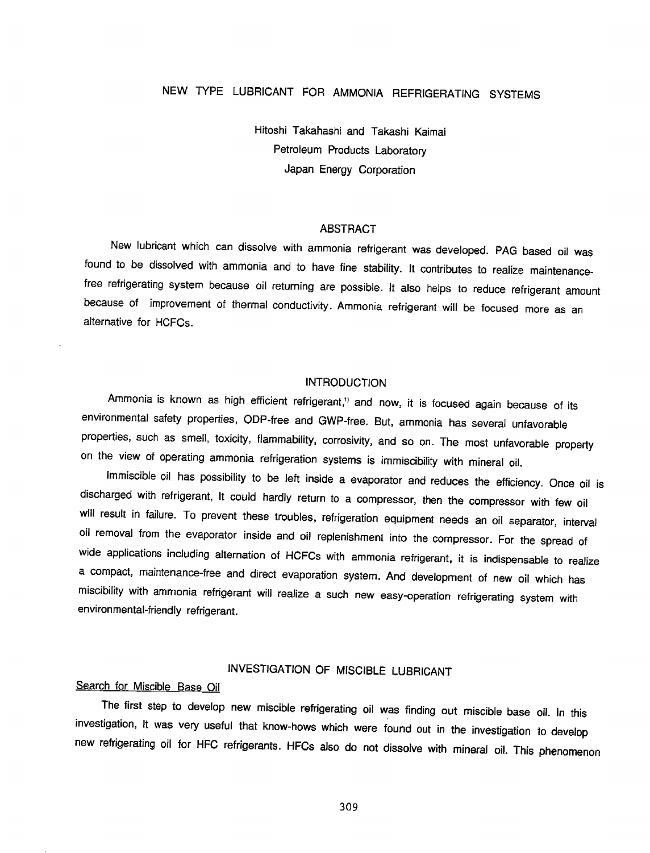# NEW TYPE LUBRICANT FOR AMMONIA REFRIGERATING SYSTEMS

Hitoshi Takahashi and Takashi Kaimai Petroleum Products Laboratory Japan Energy Corporation

#### ABSTRACT

New lubricant which can dissolve with ammonia refrigerant was developed. PAG based oil was found to be dissolved with ammonia and to have fine stability. It contributes to realize maintenancefree refrigerating system because oil returning are possible. It also helps to reduce refrigerant amount because of improvement of thermal conductivity. Ammonia refrigerant will be focused more as an alternative for HCFCs.

#### INTRODUCTION

Ammonia is known as high efficient refrigerant,<sup>1)</sup> and now, it is focused again because of its environmental safety properties, ODP-free and GWP-free. But, ammonia has several unfavorable properties, such as smell, toxicity, flammability, corrosivity, and so on. The most unfavorable property on the view of operating ammonia refrigeration systems is immiscibility with mineral oil.

Immiscible oil has possibility to be left inside a evaporator and reduces the efficiency. Once oil is discharged with refrigerant, It could hardly return to a compressor, then the compressor with few oil will result in failure. To prevent these troubles, refrigeration equipment needs an oil separator, interval oil removal from the evaporator inside and oil replenishment into the compressor. For the spread of wide applications including alternation of HCFCs with ammonia refrigerant, it is indispensable to realize a compact, maintenance-free and direct evaporation system. And development of new oil which has miscibility with ammonia refrigerant will realize a such new easy-operation refrigerating system with environmental-friendly refrigerant.

# INVESTIGATION OF MISCIBLE LUBRICANT

### Search for Miscible Base Oil

The first step to develop new miscible refrigerating oil was finding out miscible base oil. In this investigation, It was very useful that know-hows which were found out in the investigation to develop new refrigerating oil for HFC refrigerants. HFCs also do not dissolve with mineral oil. This phenomenon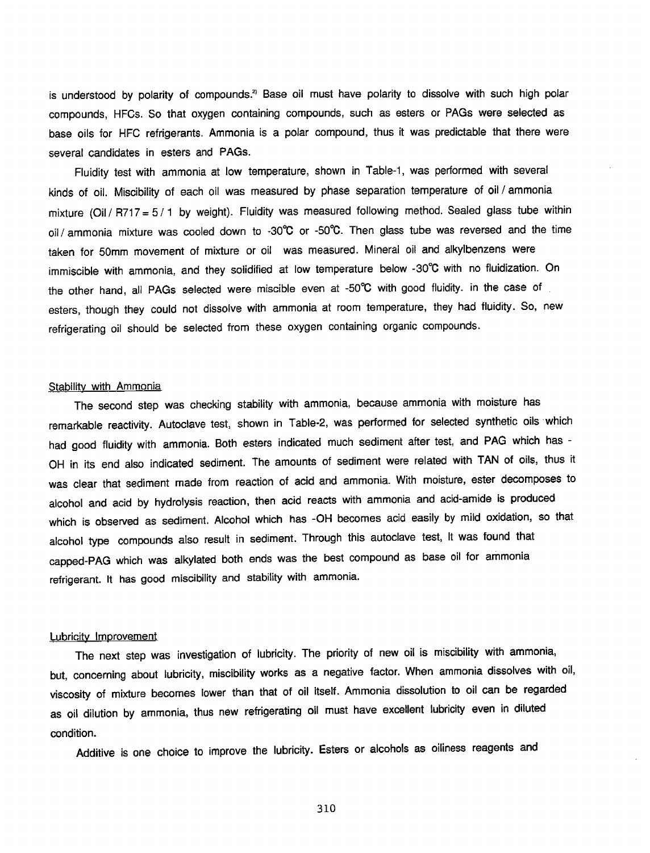is understood by polarity of compounds.<sup>2</sup> Base oil must have polarity to dissolve with such high polar compounds, HFCs. So that oxygen containing compounds, such as esters or PAGs were selected as base oils for HFC refrigerants. Ammonia is a polar compound, thus it was predictable that there were several candidates in esters and PAGs.

Fluidity test with ammonia at low temperature, shown in Table-1, was performed with several kinds of oil. Miscibility of each oil was measured by phase separation temperature of oil / ammonia mixture (Oil / R717 =  $5/1$  by weight). Fluidity was measured following method. Sealed glass tube within oil/ ammonia mixture was cooled down to -30 $^{\circ}$ C or -50 $^{\circ}$ C. Then glass tube was reversed and the time taken for 50mm movement of mixture or oil was measured. Mineral oil and alkylbenzens were immiscible with ammonia, and they solidified at low temperature below -30°C with no fluidization. On the other hand, all PAGs selected were miscible even at -50°C with good fluidity. in the case of esters, though they could not dissolve with ammonia at room temperature, they had fluidity. So, new refrigerating oil should be selected from these oxygen containing organic compounds.

#### **Stability with Ammonia**

The second step was checking stability with ammonia, because ammonia with moisture has remarkable reactivity. Autoclave test, shown in Table-2, was performed for selected synthetic oils which had good fluidity with ammonia. Both esters indicated much sediment after test, and PAG which has - OH in its end also indicated sediment. The amounts of sediment were related with TAN of oils, thus it was clear that sediment made from reaction of acid and ammonia. With moisture, ester decomposes to alcohol and acid by hydrolysis reaction, then acid reacts with ammonia and acid-amide is produced which is observed as sediment. Alcohol which has -OH becomes acid easily by mild oxidation, so that alcohol type compounds also result in sediment. Through this autoclave test, It was found that capped-PAG which was alkylated both ends was the best compound as base oil for ammonia refrigerant. It has good miscibility and stability with ammonia.

#### Lubricity Improvement

The next step was investigation of lubricity. The priority of new oil is miscibility with ammonia, but, concerning about lubricity, miscibility works as a negative factor. When ammonia dissolves with oil, viscosity of mixture becomes lower than that of oil itself. Ammonia dissolution to oil can be regarded as oil dilution by ammonia, thus new refrigerating oil must have excellent lubricity even in diluted condition.

Additive is one choice to improve the lubricity. Esters or alcohols as oiliness reagents and

310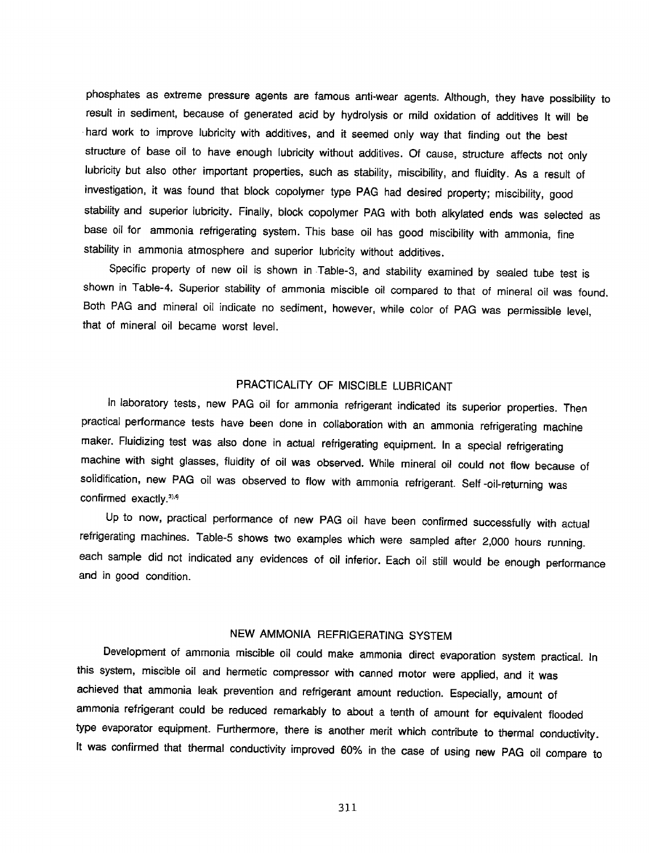phosphates as extreme pressure agents are famous anti·wear agents. Although, they have possibility to result in sediment, because of generated acid by hydrolysis or mild oxidation of additives It will be . hard work to improve lubricity with additives, and it seemed only way that finding out the best structure of base oil to have enough lubricity without additives. Of cause, structure affects not only lubricity but also other important properties, such as stability, miscibility, and fluidity. As a result of investigation, it was found that block copolymer type PAG had desired property; miscibility, good stability and superior lubricity. Finally, block copolymer PAG with both alkylated ends was selected as base oil for ammonia refrigerating system. This base oil has good miscibility with ammonia, fine stability in ammonia atmosphere and superior lubricity without additives.

Specific property of new oil is shown in Table·3, and stability examined by sealed tube test is shown in Table·4. Superior stability of ammonia miscible oil compared to that of mineral oil was found. Both PAG and mineral oil indicate no sediment, however, while color of PAG was permissible level, that of mineral oil became worst level.

## PRACTICALITY OF MISCIBLE LUBRICANT

In laboratory tests, new PAG oil for ammonia refrigerant indicated its superior properties. Then practical performance tests have been done in collaboration with an ammonia refrigerating machine maker. Fluidizing test was also done in actual refrigerating equipment. In a special refrigerating machine with sight glasses, fluidity of oil was observed. While mineral oil could not flow because of solidification, new PAG oil was observed to flow with ammonia refrigerant. Self ·oil·returning was confirmed exactly. $31.4$ 

Up to now, practical performance of new PAG oil have been confirmed successfully with actual refrigerating machines. Table·S shows two examples which were sampled after 2,000 hours running. each sample did not indicated any evidences of oil inferior. Each oil still would be enough performance and in good condition.

### NEW AMMONIA REFRIGERATING SYSTEM

Development of ammonia miscible oil could make ammonia direct evaporation system practical. In this system, miscible oil and hermetic compressor with canned motor were applied, and it was achieved that ammonia leak prevention and refrigerant amount reduction. Especially, amount of ammonia refrigerant could be reduced remarkably to about a tenth of amount for equivalent flooded type evaporator equipment. Furthermore, there is another merit which contribute to thermal conductivity. It was confirmed that thermal conductivity improved 60% in the case of using new PAG oil compare to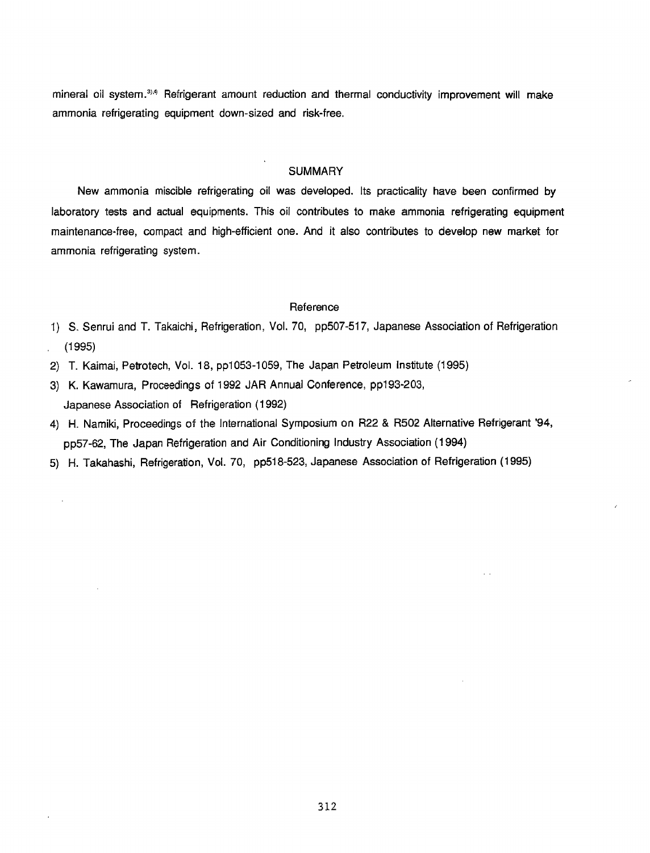mineral oil system. $3.4$  Refrigerant amount reduction and thermal conductivity improvement will make ammonia refrigerating equipment down-sized and risk-free.

#### **SUMMARY**

New ammonia miscible refrigerating oil was developed. Its practicality have been confirmed by laboratory tests and actual equipments. This oil contributes to make ammonia refrigerating equipment maintenance-free, compact and high-efficient one. And it also contributes to develop new market for ammonia refrigerating system.

#### **Reference**

- 1) S. Senrui and T. Takaichi, Refrigeration, Vol. 70, pp507-517, Japanese Association of Refrigeration (1995)
- 2) T. Kaimai, Petrotech, Vol. 18, pp1053-1059, The Japan Petroleum Institute (1995)
- 3) K. Kawamura, Proceedings of 1992 JAR Annual Conference, pp193·203, Japanese Association of Refrigeration ( 1992)
- 4) H. Namiki, Proceedings of the International Symposium on R22 & R502 Alternative Refrigerant '94, pp57-62, The Japan Refrigeration and Air Conditioning Industry Association (1994)
- 5) H. Takahashi, Refrigeration, Vol. 70, pp518-523, Japanese Association of Refrigeration (1995)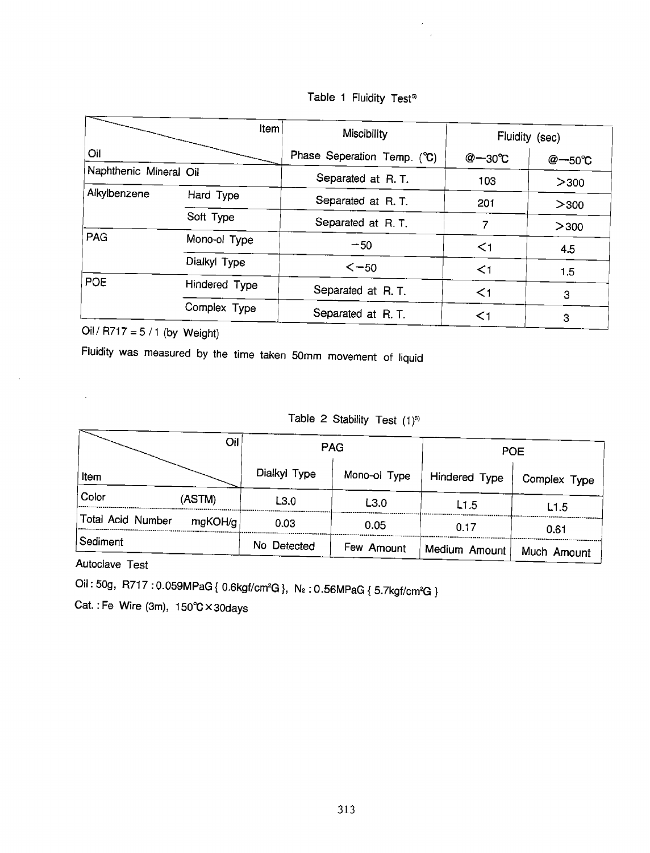|  |  | Table 1 Fluidity Test <sup>5)</sup> |  |  |
|--|--|-------------------------------------|--|--|
|--|--|-------------------------------------|--|--|

| Item                   |               | Miscibility                 | Fluidity (sec)    |                  |
|------------------------|---------------|-----------------------------|-------------------|------------------|
| Oil                    |               | Phase Seperation Temp. (°C) | $@ - 30^{\circ}C$ | $@{-}50^\circ$ C |
| Naphthenic Mineral Oil |               | Separated at R.T.           | 103               | >300             |
| Alkylbenzene           | Hard Type     | Separated at R.T.           | 201               | > 300            |
|                        | Soft Type     | Separated at R.T.           | 7                 | >300             |
| PAG                    | Mono-ol Type  | $-50$                       | $\leq$ 1          | 4.5              |
|                        | Dialkyl Type  | $\le -50$                   | $\leq$ 1          | 1.5              |
| POE                    | Hindered Type | Separated at R.T.           | $\leq$ 1          | 3                |
|                        | Complex Type  | Separated at R.T.           | $<$ 1             | 3                |

Oil / R717 =  $5/1$  (by Weight)

Fluidity was measured by the time taken SOmm movement of liquid

### Table 2 Stability Test (1)<sup>5)</sup>

|                   | Oil     | <b>PAG</b>   |              | <b>POE</b>     |              |  |
|-------------------|---------|--------------|--------------|----------------|--------------|--|
| Item              |         | Dialkyl Type | Mono-ol Type | Hindered Type  | Complex Type |  |
| Color             | (ASTM)  | L3.0         | L3.0         | L1.5           | L1.5         |  |
| Total Acid Number | mgKOH/g | 0.03         | 0.05         | 0.17           | 0.61         |  |
| Sediment          |         | No Detected  | Few Amount   | Medium Amount! | Much Amount  |  |

Autoclave Test

 $\mathbb{Z}^2$ 

 $\sim$ 

Oil : 50g, R717 : 0.059MPaG { 0.6kgf/cm²G }, N $_{2}$  : 0.56MPaG { 5.7kgf/cm²G }

Cat. : Fe Wire (3m), 1S0°C x 30days